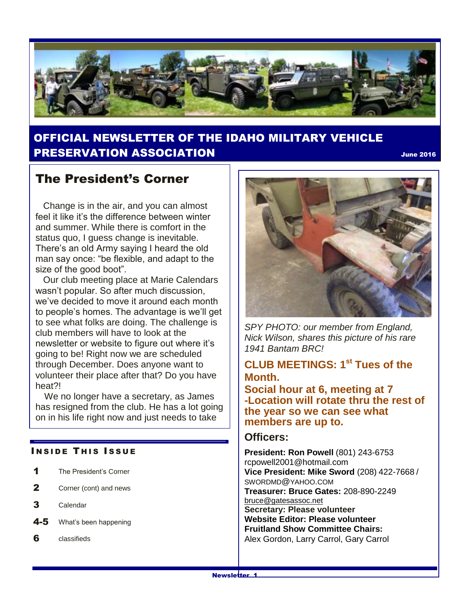

## OFFICIAL NEWSLETTER OF THE IDAHO MILITARY VEHICLE **PRESERVATION ASSOCIATION SECURE 2016 DRESERVATION**

## The President's Corner

 Change is in the air, and you can almost feel it like it's the difference between winter and summer. While there is comfort in the status quo, I guess change is inevitable. There's an old Army saying I heard the old man say once: "be flexible, and adapt to the size of the good boot".

 Our club meeting place at Marie Calendars wasn't popular. So after much discussion, we've decided to move it around each month to people's homes. The advantage is we'll get to see what folks are doing. The challenge is club members will have to look at the newsletter or website to figure out where it's going to be! Right now we are scheduled through December. Does anyone want to volunteer their place after that? Do you have heat?!

 We no longer have a secretary, as James has resigned from the club. He has a lot going on in his life right now and just needs to take

#### **INSIDE THIS ISSUE**

- 1 The President's Corner
- 2 Corner (cont) and news
- 3 Calendar
- 4-5 What's been happening
- 6 classifieds



*SPY PHOTO: our member from England, Nick Wilson, shares this picture of his rare 1941 Bantam BRC!*

## **CLUB MEETINGS: 1 st Tues of the Month.**

**Social hour at 6, meeting at 7 -Location will rotate thru the rest of the year so we can see what members are up to.** 

#### **Officers:**

**President: Ron Powell** (801) 243-6753 rcpowell2001@hotmail.com **Vice President: Mike Sword** (208) 422-7668 / SWORDMD@YAHOO.COM **Treasurer: Bruce Gates:** 208-890-2249 [bruce@gatesassoc.net](mailto:bruce@gatesassoc.net) **Secretary: Please volunteer Website Editor: Please volunteer Fruitland Show Committee Chairs:** Alex Gordon, Larry Carrol, Gary Carrol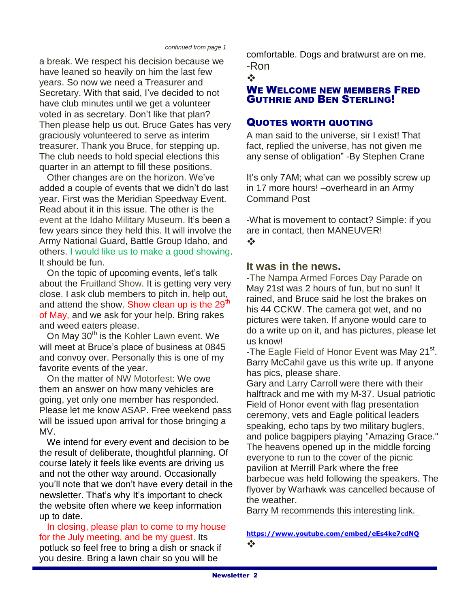*continued from page 1*

a break. We respect his decision because we have leaned so heavily on him the last few years. So now we need a Treasurer and Secretary. With that said, I've decided to not have club minutes until we get a volunteer voted in as secretary. Don't like that plan? Then please help us out. Bruce Gates has very graciously volunteered to serve as interim treasurer. Thank you Bruce, for stepping up. The club needs to hold special elections this quarter in an attempt to fill these positions.

 Other changes are on the horizon. We've added a couple of events that we didn't do last year. First was the Meridian Speedway Event. Read about it in this issue. The other is the event at the Idaho Military Museum. It's been a few years since they held this. It will involve the Army National Guard, Battle Group Idaho, and others. I would like us to make a good showing. It should be fun.

 On the topic of upcoming events, let's talk about the Fruitland Show. It is getting very very close. I ask club members to pitch in, help out, and attend the show. Show clean up is the 29<sup>th</sup> of May, and we ask for your help. Bring rakes and weed eaters please.

On May 30<sup>th</sup> is the Kohler Lawn event. We will meet at Bruce's place of business at 0845 and convoy over. Personally this is one of my favorite events of the year.

 On the matter of NW Motorfest: We owe them an answer on how many vehicles are going, yet only one member has responded. Please let me know ASAP. Free weekend pass will be issued upon arrival for those bringing a MV.

 We intend for every event and decision to be the result of deliberate, thoughtful planning. Of course lately it feels like events are driving us and not the other way around. Occasionally you'll note that we don't have every detail in the newsletter. That's why It's important to check the website often where we keep information up to date.

In closing, please plan to come to my house for the July meeting, and be my guest. Its potluck so feel free to bring a dish or snack if you desire. Bring a lawn chair so you will be

comfortable. Dogs and bratwurst are on me. -Ron

#### $\bullet^*$

#### WE WELCOME NEW MEMBERS FRED GUTHRIE AND BEN STERLING!

### QUOTES WORTH QUOTING

A man said to the universe, sir I exist! That fact, replied the universe, has not given me any sense of obligation" -By Stephen Crane

It's only 7AM; what can we possibly screw up in 17 more hours! –overheard in an Army Command Post

-What is movement to contact? Simple: if you are in contact, then MANEUVER!  $\frac{1}{2}$ 

#### **It was in the news.**

-The Nampa Armed Forces Day Parade on May 21st was 2 hours of fun, but no sun! It rained, and Bruce said he lost the brakes on his 44 CCKW. The camera got wet, and no pictures were taken. If anyone would care to do a write up on it, and has pictures, please let us know!

-The Eagle Field of Honor Event was May 21<sup>st</sup>. Barry McCahil gave us this write up. If anyone has pics, please share.

Gary and Larry Carroll were there with their halftrack and me with my M-37. Usual patriotic Field of Honor event with flag presentation ceremony, vets and Eagle political leaders speaking, echo taps by two military buglers, and police bagpipers playing "Amazing Grace." The heavens opened up in the middle forcing everyone to run to the cover of the picnic pavilion at Merrill Park where the free barbecue was held following the speakers. The flyover by Warhawk was cancelled because of the weather.

Barry M recommends this interesting link.

#### **<https://www.youtube.com/embed/eEs4ke7cdNQ>**  $\frac{1}{2}$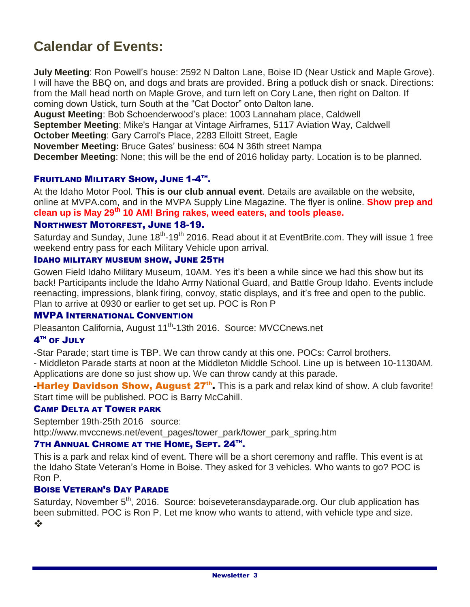# **Calendar of Events:**

**July Meeting**: Ron Powell's house: 2592 N Dalton Lane, Boise ID (Near Ustick and Maple Grove). I will have the BBQ on, and dogs and brats are provided. Bring a potluck dish or snack. Directions: from the Mall head north on Maple Grove, and turn left on Cory Lane, then right on Dalton. If coming down Ustick, turn South at the "Cat Doctor" onto Dalton lane.

**August Meeting**: Bob Schoenderwood's place: 1003 Lannaham place, Caldwell **September Meeting**: Mike's Hangar at Vintage Airframes, 5117 Aviation Way, Caldwell **October Meeting**: Gary Carrol's Place, 2283 Elloitt Street, Eagle **November Meeting:** Bruce Gates' business: 604 N 36th street Nampa

**December Meeting**: None; this will be the end of 2016 holiday party. Location is to be planned.

#### FRUITLAND MILITARY SHOW, JUNE 1-4TH.

At the Idaho Motor Pool. **This is our club annual event**. Details are available on the website, online at MVPA.com, and in the MVPA Supply Line Magazine. The flyer is online. **Show prep and clean up is May 29th 10 AM! Bring rakes, weed eaters, and tools please.**

#### NORTHWEST MOTORFEST, JUNE 18-19.

Saturday and Sunday, June 18<sup>th</sup>-19<sup>th</sup> 2016. Read about it at EventBrite.com. They will issue 1 free weekend entry pass for each Military Vehicle upon arrival.

#### IDAHO MILITARY MUSEUM SHOW, JUNE 25TH

Gowen Field Idaho Military Museum, 10AM. Yes it's been a while since we had this show but its back! Participants include the Idaho Army National Guard, and Battle Group Idaho. Events include reenacting, impressions, blank firing, convoy, static displays, and it's free and open to the public. Plan to arrive at 0930 or earlier to get set up. POC is Ron P

#### MVPA INTERNATIONAL CONVENTION

Pleasanton California, August 11<sup>th</sup>-13th 2016. Source: MVCCnews.net

#### $4^{\text{\tiny{TH}}}$  of  $\text{\sf{JULY}}$

-Star Parade; start time is TBP. We can throw candy at this one. POCs: Carrol brothers.

- Middleton Parade starts at noon at the Middleton Middle School. Line up is between 10-1130AM. Applications are done so just show up. We can throw candy at this parade.

Harley Davidson Show, August 27<sup>th</sup>. This is a park and relax kind of show. A club favorite! Start time will be published. POC is Barry McCahill.

### CAMP DELTA AT TOWER PARK

September 19th-25th 2016 source: http://www.mvccnews.net/event\_pages/tower\_park/tower\_park\_spring.htm

#### **7TH ANNUAL CHROME AT THE HOME, SEPT. 24TH.**

This is a park and relax kind of event. There will be a short ceremony and raffle. This event is at the Idaho State Veteran's Home in Boise. They asked for 3 vehicles. Who wants to go? POC is Ron P.

#### BOISE VETERAN'S DAY PARADE

Saturday, November  $5<sup>th</sup>$ , 2016. Source: boiseveteransdayparade.org. Our club application has been submitted. POC is Ron P. Let me know who wants to attend, with vehicle type and size.  $\frac{1}{2}$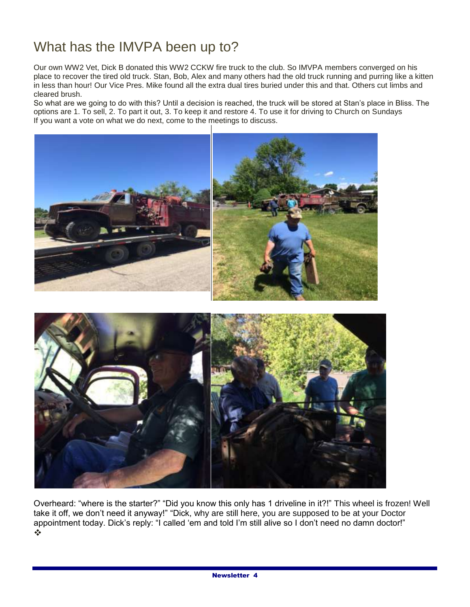# What has the IMVPA been up to?

Our own WW2 Vet, Dick B donated this WW2 CCKW fire truck to the club. So IMVPA members converged on his place to recover the tired old truck. Stan, Bob, Alex and many others had the old truck running and purring like a kitten in less than hour! Our Vice Pres. Mike found all the extra dual tires buried under this and that. Others cut limbs and cleared brush.

So what are we going to do with this? Until a decision is reached, the truck will be stored at Stan's place in Bliss. The options are 1. To sell, 2. To part it out, 3. To keep it and restore 4. To use it for driving to Church on Sundays If you want a vote on what we do next, come to the meetings to discuss.



Overheard: "where is the starter?" "Did you know this only has 1 driveline in it?!" This wheel is frozen! Well take it off, we don't need it anyway!" "Dick, why are still here, you are supposed to be at your Doctor appointment today. Dick's reply: "I called 'em and told I'm still alive so I don't need no damn doctor!" ÷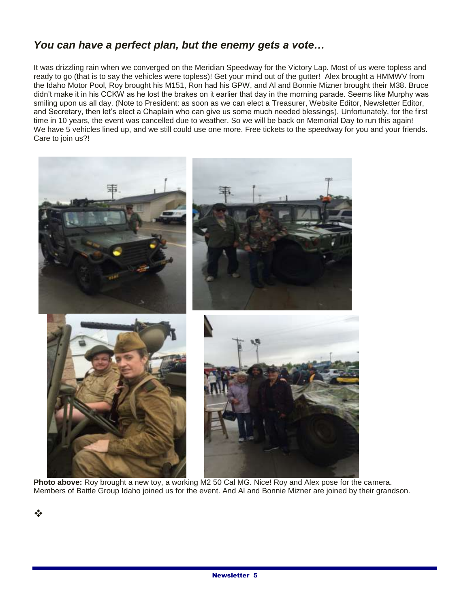## *You can have a perfect plan, but the enemy gets a vote…*

It was drizzling rain when we converged on the Meridian Speedway for the Victory Lap. Most of us were topless and ready to go (that is to say the vehicles were topless)! Get your mind out of the gutter! Alex brought a HMMWV from the Idaho Motor Pool, Roy brought his M151, Ron had his GPW, and Al and Bonnie Mizner brought their M38. Bruce didn't make it in his CCKW as he lost the brakes on it earlier that day in the morning parade. Seems like Murphy was smiling upon us all day. (Note to President: as soon as we can elect a Treasurer, Website Editor, Newsletter Editor, and Secretary, then let's elect a Chaplain who can give us some much needed blessings). Unfortunately, for the first time in 10 years, the event was cancelled due to weather. So we will be back on Memorial Day to run this again! We have 5 vehicles lined up, and we still could use one more. Free tickets to the speedway for you and your friends. Care to join us?!



**Photo above:** Roy brought a new toy, a working M2 50 Cal MG. Nice! Roy and Alex pose for the camera. Members of Battle Group Idaho joined us for the event. And Al and Bonnie Mizner are joined by their grandson.